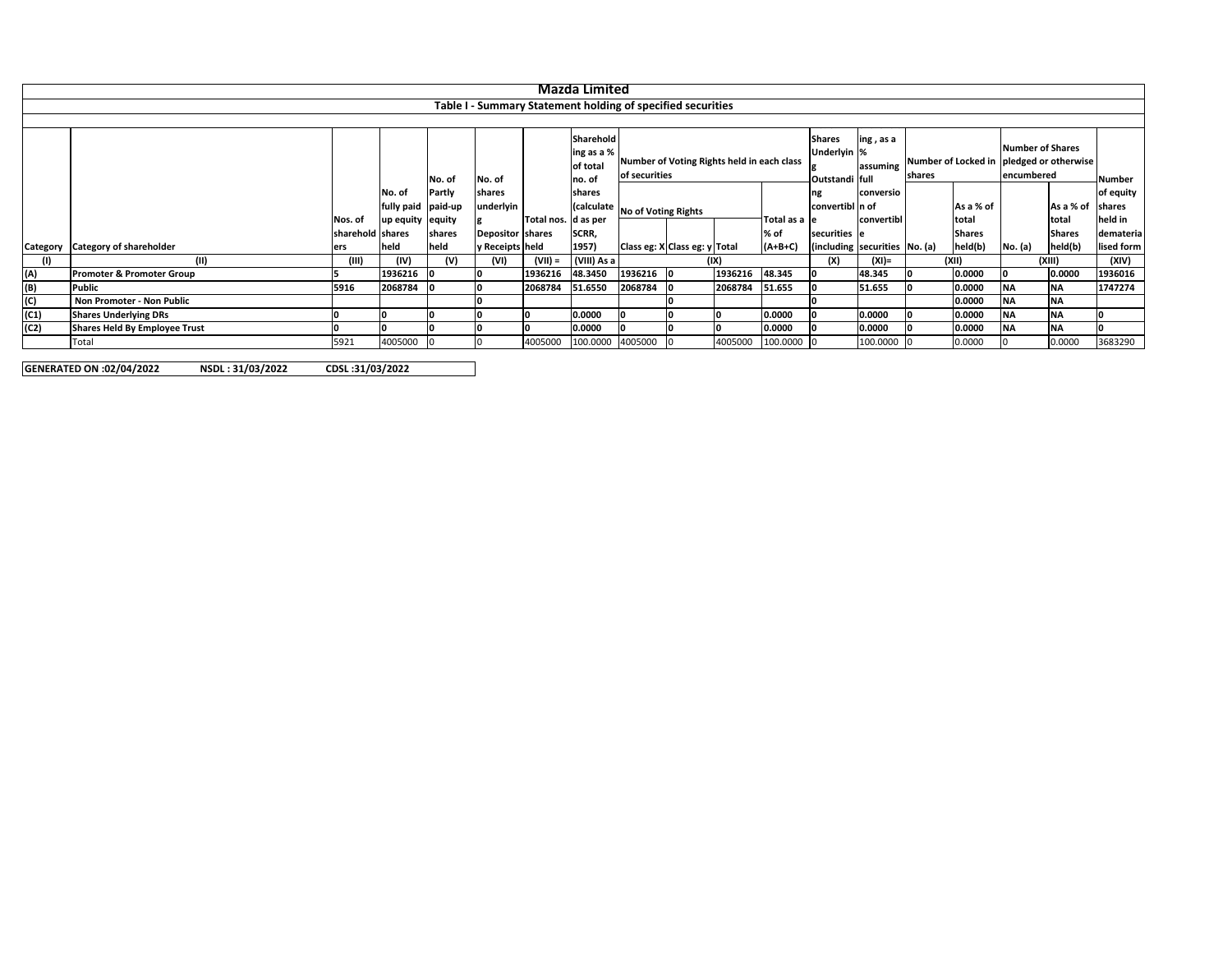|              |                                      |                  |                    |        |                                                             |                     | <b>Mazda Limited</b>                |                                            |  |         |                  |                              |                               |        |               |                                                                     |                |            |
|--------------|--------------------------------------|------------------|--------------------|--------|-------------------------------------------------------------|---------------------|-------------------------------------|--------------------------------------------|--|---------|------------------|------------------------------|-------------------------------|--------|---------------|---------------------------------------------------------------------|----------------|------------|
|              |                                      |                  |                    |        | Table I - Summary Statement holding of specified securities |                     |                                     |                                            |  |         |                  |                              |                               |        |               |                                                                     |                |            |
|              |                                      |                  |                    |        |                                                             |                     |                                     |                                            |  |         |                  |                              |                               |        |               |                                                                     |                |            |
|              |                                      |                  |                    |        |                                                             |                     | Sharehold<br>ing as a %<br>of total | Number of Voting Rights held in each class |  |         |                  | <b>Shares</b><br>Underlyin % | ing, as a<br>assuming         |        |               | <b>Number of Shares</b><br>Number of Locked in pledged or otherwise |                |            |
|              |                                      |                  |                    | No. of | No. of                                                      |                     | no. of                              | of securities                              |  |         |                  | Outstandi full               |                               | shares |               |                                                                     | encumbered     |            |
|              |                                      |                  | No. of             | Partly | shares                                                      |                     | shares                              | (calculate No of Voting Rights             |  |         | ng               | conversio                    |                               |        |               |                                                                     | of equity      |            |
|              |                                      |                  | fully paid paid-up |        | ınderlyin                                                   |                     |                                     |                                            |  |         | convertibl in of |                              | As a % of                     |        |               | As a % of                                                           | <b>Ishares</b> |            |
|              |                                      | Nos. of          | up equity equity   |        |                                                             | Total nos. d as per |                                     |                                            |  |         | Total as a le    |                              | convertibl                    |        | total         |                                                                     | total          | held in    |
|              |                                      | sharehold shares |                    | shares | Depositor shares                                            |                     | SCRR,                               |                                            |  |         | % of             | securities e                 |                               |        | <b>Shares</b> |                                                                     | <b>Shares</b>  | demateria  |
| Category     | <b>Category of shareholder</b>       | ers              | held               | held   | y Receipts held                                             |                     | 1957)                               | Class eg: X Class eg: y Total              |  |         | $(A+B+C)$        |                              | (including securities No. (a) |        | held(b)       | No. (a)                                                             | held(b)        | lised form |
| (1)          | (II)                                 | (III)            | (IV)               | (V)    | (VI)                                                        | (VII) =             | (VIII) As a                         |                                            |  | (IX)    |                  | (X)                          | $(XI) =$                      |        | (XII)         |                                                                     | (XIII)         | (XIV)      |
| (A)          | Promoter & Promoter Group            |                  | 1936216 0          |        |                                                             | 1936216             | 48.3450                             | 1936216 0                                  |  | 1936216 | 48.345           |                              | 48.345                        |        | 0.0000        |                                                                     | 0.0000         | 1936016    |
|              | <b>Public</b>                        | 5916             | 2068784            |        |                                                             | 2068784             | 51.6550                             | 2068784                                    |  | 2068784 | 51.655           |                              | 51.655                        |        | 0.0000        | <b>NA</b>                                                           | <b>INA</b>     | 1747274    |
| $(B)$<br>(C) | Non Promoter - Non Public            |                  |                    |        |                                                             |                     |                                     |                                            |  |         |                  |                              |                               |        | 0.0000        | <b>NA</b>                                                           | <b>NA</b>      |            |
| (C1)         | <b>Shares Underlying DRs</b>         |                  |                    |        |                                                             |                     | 0.0000                              |                                            |  |         | 0.0000           |                              | 0.0000                        |        | 0.0000        | <b>NA</b>                                                           | <b>NA</b>      |            |
| (C2)         | <b>Shares Held By Employee Trust</b> |                  |                    |        |                                                             |                     | 0.0000                              |                                            |  |         | 0.0000           |                              | 0.0000                        |        | 0.0000        | <b>NA</b>                                                           | <b>NA</b>      | O          |
|              | Total                                | 5921             | 4005000            |        |                                                             | 4005000             | 100.0000 4005000                    |                                            |  | 4005000 | 100.0000 0       |                              | 100.0000                      |        | 0.0000        |                                                                     | 0.0000         | 3683290    |

**GENERATED ON :02/04/2022 NSDL : 31/03/2022 CDSL :31/03/2022**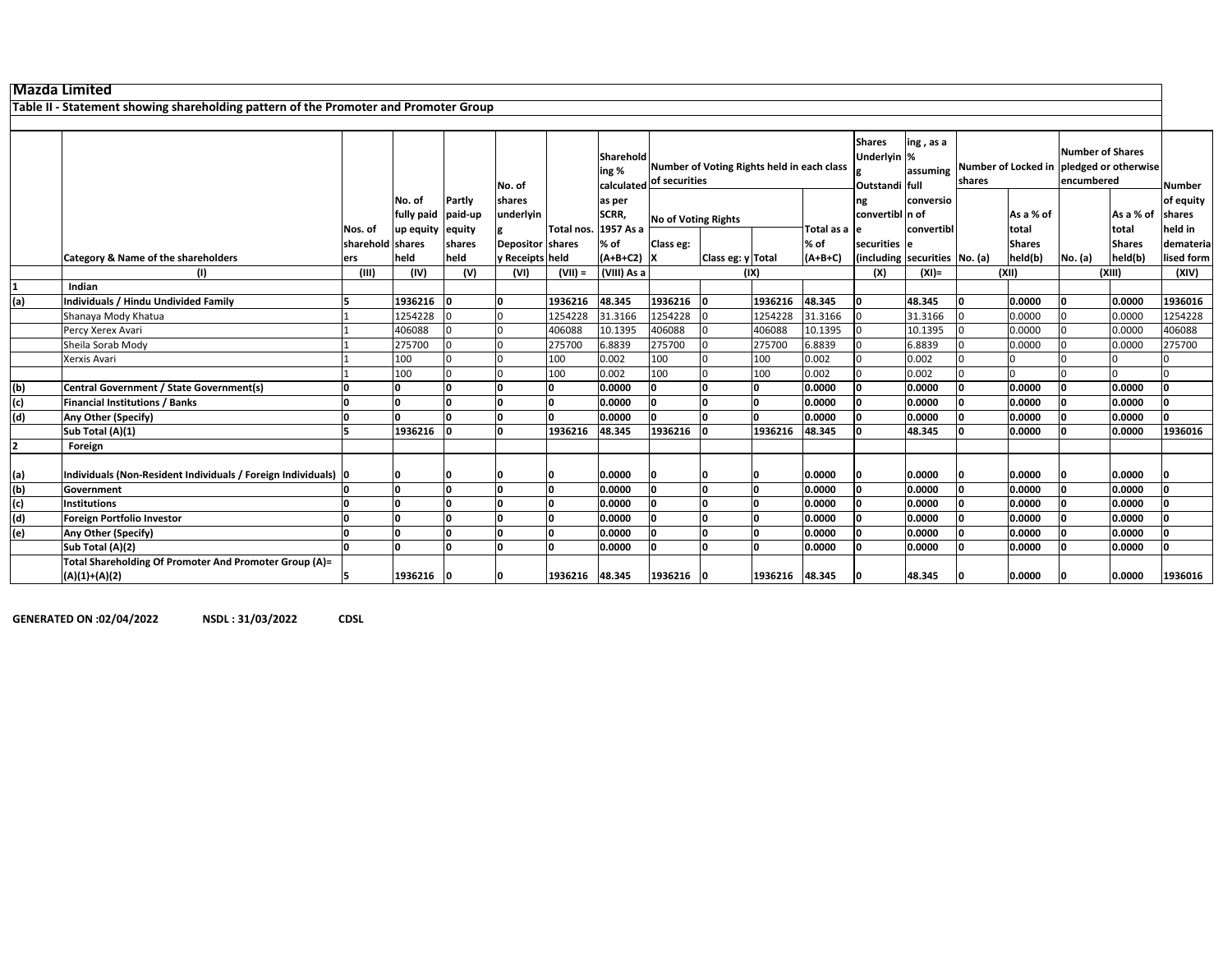## **Mazda Limited**

**Table II ‐ Statement showing shareholding pattern of the Promoter and Promoter Group**

|                |                                                                |                  |                    |        | No. of           |                      | Sharehold<br>ing % | Number of Voting Rights held in each class<br>calculated of securities |                   |         | <b>Shares</b><br>Underlyin %<br>Outstandi full |                 | ing, as a<br>assuming         | shares |               | <b>Number of Shares</b><br>Number of Locked in pledged or otherwise<br>encumbered |               | <b>Number</b> |
|----------------|----------------------------------------------------------------|------------------|--------------------|--------|------------------|----------------------|--------------------|------------------------------------------------------------------------|-------------------|---------|------------------------------------------------|-----------------|-------------------------------|--------|---------------|-----------------------------------------------------------------------------------|---------------|---------------|
|                |                                                                |                  | No. of             | Partly | shares           |                      | as per             |                                                                        |                   |         |                                                | ng              | conversio                     |        |               |                                                                                   |               | of equity     |
|                |                                                                |                  | fully paid paid-up |        | underlyin        |                      | SCRR,              | <b>No of Voting Rights</b>                                             |                   |         |                                                | convertibl n of |                               |        | As a % of     |                                                                                   | As a % of     | shares        |
|                |                                                                | Nos. of          | up equity equity   |        |                  | Total nos. 1957 As a |                    |                                                                        |                   |         | Total as a le                                  |                 | convertibl                    |        | total         |                                                                                   | total         | held in       |
|                |                                                                | sharehold shares |                    | shares | Depositor shares |                      | % of               | Class eg:                                                              |                   |         | % of                                           | securities e    |                               |        | <b>Shares</b> |                                                                                   | <b>Shares</b> | demateria     |
|                | <b>Category &amp; Name of the shareholders</b>                 | ers              | held               | held   | y Receipts held  |                      | $(A+B+C2)$ X       |                                                                        | Class eg: y Total |         | $(A+B+C)$                                      |                 | (including securities No. (a) |        | held(b)       | No. (a)                                                                           | held(b)       | lised form    |
|                | (1)                                                            | (III)            | (IV)               | (V)    | (VI)             | $(VII) =$            | (VIII) As a        |                                                                        |                   | (IX)    |                                                | (X)             | $(XI) =$                      |        | (XII)         |                                                                                   | (XIII)        | (XIV)         |
|                | Indian                                                         |                  |                    |        |                  |                      |                    |                                                                        |                   |         |                                                |                 |                               |        |               |                                                                                   |               |               |
| (a)            | Individuals / Hindu Undivided Family                           |                  | 1936216            |        | 0                | 1936216              | 48.345             | 1936216 0                                                              |                   | 1936216 | 48.345                                         |                 | 48.345                        |        | 0.0000        |                                                                                   | 0.0000        | 1936016       |
|                | Shanaya Mody Khatua                                            |                  | 1254228            |        | $\Omega$         | 1254228              | 31.3166            | 1254228                                                                |                   | 1254228 | 31.3166                                        |                 | 31.3166                       |        | 0.0000        |                                                                                   | 0.0000        | 1254228       |
|                | Percy Xerex Avari                                              |                  | 406088             |        |                  | 406088               | 10.1395            | 406088                                                                 |                   | 406088  | 10.1395                                        |                 | 10.1395                       |        | 0.0000        |                                                                                   | 0.0000        | 406088        |
|                | Sheila Sorab Mody                                              |                  | 275700             |        |                  | 275700               | 6.8839             | 275700                                                                 |                   | 275700  | 6.8839                                         |                 | 6.8839                        |        | 0.0000        |                                                                                   | 0.0000        | 275700        |
|                | Xerxis Avari                                                   |                  | 100                |        |                  | 100                  | 0.002              | 100                                                                    |                   | 100     | 0.002                                          |                 | 0.002                         |        |               |                                                                                   |               |               |
|                |                                                                |                  | 100                |        | $\Omega$         | 100                  | 0.002              | 100                                                                    |                   | 100     | 0.002                                          |                 | 0.002                         |        |               |                                                                                   | n             |               |
| (b)            | <b>Central Government / State Government(s)</b>                |                  |                    |        | n                | n                    | 0.0000             |                                                                        |                   | n       | 0.0000                                         |                 | 0.0000                        |        | 0.0000        |                                                                                   | 0.0000        |               |
| $\overline{c}$ | <b>Financial Institutions / Banks</b>                          |                  | n                  |        | ١n               | ١o                   | 0.0000             |                                                                        |                   |         | 0.0000                                         |                 | 0.0000                        |        | 0.0000        |                                                                                   | 0.0000        |               |
| (d)            | Any Other (Specify)                                            |                  | l0.                |        | ١o               | 'n                   | 0.0000             |                                                                        |                   |         | 0.0000                                         |                 | 0.0000                        |        | 0.0000        |                                                                                   | 0.0000        |               |
|                | Sub Total (A)(1)                                               |                  | 1936216            |        | l O              | 1936216              | 48.345             | 1936216                                                                |                   | 1936216 | 48.345                                         |                 | 48.345                        |        | 0.0000        |                                                                                   | 0.0000        | 1936016       |
| 2              | Foreign                                                        |                  |                    |        |                  |                      |                    |                                                                        |                   |         |                                                |                 |                               |        |               |                                                                                   |               |               |
|                |                                                                |                  |                    |        |                  |                      |                    |                                                                        |                   |         |                                                |                 |                               |        |               |                                                                                   |               |               |
| (a)            | Individuals (Non-Resident Individuals / Foreign Individuals) 0 |                  |                    |        |                  |                      | 0.0000             |                                                                        |                   |         | 0.0000                                         |                 | 0.0000                        |        | 0.0000        |                                                                                   | 0.0000        |               |
| (b)            | Government                                                     |                  | n                  |        | ۱n               | 'n                   | 0.0000             |                                                                        |                   |         | 0.0000                                         |                 | 0.0000                        |        | 0.0000        |                                                                                   | 0.0000        |               |
| (c)            | <b>Institutions</b>                                            |                  | 'n                 |        | ١o               | 'n                   | 0.0000             |                                                                        |                   |         | 0.0000                                         |                 | 0.0000                        |        | 0.0000        |                                                                                   | 0.0000        |               |
| (d)            | <b>Foreign Portfolio Investor</b>                              |                  |                    |        |                  |                      | 0.0000             |                                                                        |                   |         | 0.0000                                         |                 | 0.0000                        |        | 0.0000        |                                                                                   | 0.0000        |               |
| (e)            | Any Other (Specify)                                            |                  |                    |        | n                |                      | 0.0000             |                                                                        |                   |         | 0.0000                                         |                 | 0.0000                        |        | 0.0000        |                                                                                   | 0.0000        |               |
|                | Sub Total (A)(2)                                               |                  | 'n                 |        | ۱n               | $\sqrt{ }$           | 0.0000             |                                                                        |                   | n       | 0.0000                                         |                 | 0.0000                        |        | 0.0000        |                                                                                   | 0.0000        |               |
|                | Total Shareholding Of Promoter And Promoter Group (A)=         |                  |                    |        |                  |                      |                    |                                                                        |                   |         |                                                |                 |                               |        |               |                                                                                   |               |               |
|                | $(A)(1)+(A)(2)$                                                |                  | 1936216            |        | 0                | 1936216 48.345       |                    | 1936216 0                                                              |                   | 1936216 | 48.345                                         |                 | 48.345                        |        | 0.0000        |                                                                                   | 0.0000        | 1936016       |

**GENERATED ON :02/04/2022 NSDL : 31/03/2022 CDSL**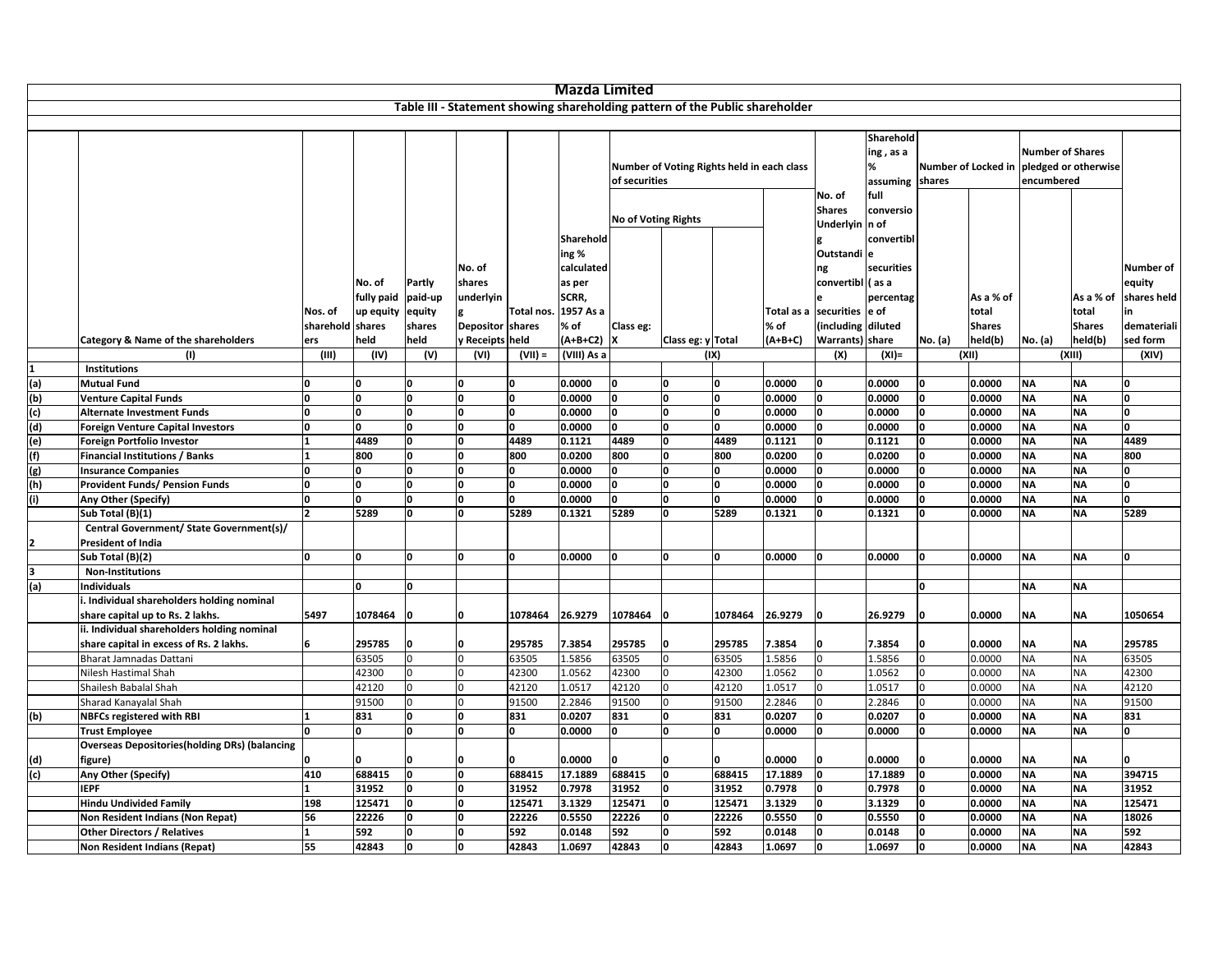|                |                                                                                |                          |                  |              |                  |            | <b>Mazda Limited</b> |                            |                   |                                                                              |            |                    |                  |          |                  |                         |                                          |              |
|----------------|--------------------------------------------------------------------------------|--------------------------|------------------|--------------|------------------|------------|----------------------|----------------------------|-------------------|------------------------------------------------------------------------------|------------|--------------------|------------------|----------|------------------|-------------------------|------------------------------------------|--------------|
|                |                                                                                |                          |                  |              |                  |            |                      |                            |                   | Table III - Statement showing shareholding pattern of the Public shareholder |            |                    |                  |          |                  |                         |                                          |              |
|                |                                                                                |                          |                  |              |                  |            |                      |                            |                   |                                                                              |            |                    |                  |          |                  |                         |                                          |              |
|                |                                                                                |                          |                  |              |                  |            |                      |                            |                   |                                                                              |            |                    | Sharehold        |          |                  |                         |                                          |              |
|                |                                                                                |                          |                  |              |                  |            |                      |                            |                   |                                                                              |            |                    | ing, as a        |          |                  | <b>Number of Shares</b> |                                          |              |
|                |                                                                                |                          |                  |              |                  |            |                      |                            |                   | Number of Voting Rights held in each class                                   |            |                    |                  |          |                  |                         | Number of Locked in pledged or otherwise |              |
|                |                                                                                |                          |                  |              |                  |            |                      | of securities              |                   |                                                                              |            |                    | assuming shares  |          |                  | encumbered              |                                          |              |
|                |                                                                                |                          |                  |              |                  |            |                      |                            |                   |                                                                              |            | No. of             | full             |          |                  |                         |                                          |              |
|                |                                                                                |                          |                  |              |                  |            |                      |                            |                   |                                                                              |            | <b>Shares</b>      | conversio        |          |                  |                         |                                          |              |
|                |                                                                                |                          |                  |              |                  |            |                      | <b>No of Voting Rights</b> |                   | Underlyin In of                                                              |            |                    |                  |          |                  |                         |                                          |              |
|                |                                                                                |                          |                  |              |                  |            | Sharehold            |                            |                   |                                                                              |            |                    | convertibl       |          |                  |                         |                                          |              |
|                |                                                                                |                          |                  |              |                  |            | ing%                 |                            |                   |                                                                              |            | Outstandi e        |                  |          |                  |                         |                                          |              |
|                |                                                                                |                          |                  |              | No. of           |            | calculated           |                            |                   |                                                                              |            | ng                 | securities       |          |                  |                         |                                          | Number of    |
|                |                                                                                |                          | No. of           | Partly       | shares           |            | as per               |                            |                   |                                                                              |            | convertibl (as a   |                  |          |                  |                         |                                          | equity       |
|                |                                                                                |                          | fully paid       | paid-up      | underlyin        |            | SCRR,                |                            |                   |                                                                              |            |                    | percentag        |          | As a % of        |                         | As a % of                                | shares held  |
|                |                                                                                | Nos. of                  | up equity equity |              |                  | Total nos. | 1957 As a            |                            |                   |                                                                              | Total as a | securities         | e of             |          | total            |                         | total                                    |              |
|                |                                                                                | sharehold shares         |                  | shares       | Depositor shares |            | % of                 | Class eg:                  |                   |                                                                              | % of       | (including diluted |                  |          | <b>Shares</b>    |                         | <b>Shares</b>                            | demateriali  |
|                | Category & Name of the shareholders                                            | ers                      | held             | held         | y Receipts held  |            | $(A+B+C2)$           | lx                         | Class eg: y Total |                                                                              | $(A+B+C)$  | Warrants) share    |                  | No. (a)  | held(b)          | No. (a)                 | held(b)                                  | sed form     |
|                | (1)                                                                            | (III)                    | (IV)             | (V)          | (VI)             | $(VII) =$  | (VIII) As a          |                            |                   | (IX)                                                                         |            | (X)                | $(XI) =$         |          | (XII)            |                         | (XIII)                                   | (XIV)        |
| $\mathbf{1}$   | <b>Institutions</b>                                                            |                          |                  |              |                  |            |                      |                            |                   |                                                                              |            |                    |                  |          |                  |                         |                                          |              |
| (a)            | <b>Mutual Fund</b>                                                             |                          |                  | O            | n                | 0          | 0.0000               | 'n                         |                   | n                                                                            | 0.0000     |                    | 0.0000           |          | 0.0000           | <b>NA</b>               | <b>NA</b>                                |              |
| (b)            | <b>Venture Capital Funds</b>                                                   |                          |                  |              | O                | O          | 0.0000               | O                          |                   |                                                                              | 0.0000     |                    | 0.0000           |          | 0.0000           | ΝA                      | <b>NA</b>                                |              |
| (c)            | <b>Alternate Investment Funds</b>                                              | 'n                       | 'n               | $\mathbf{0}$ | O                | 0          | 0.0000               | O                          | l0.               | <b>n</b>                                                                     | 0.0000     | n                  | 0.0000           | 'n       | 0.0000           | <b>NA</b>               | <b>NA</b>                                | n            |
| (d)            | <b>Foreign Venture Capital Investors</b>                                       | <b>n</b>                 |                  | O            | O                | o          | 0.0000               | O                          | <sup>0</sup>      | <b>O</b>                                                                     | 0.0000     |                    | 0.0000           |          | 0.0000           | <b>NA</b>               | <b>NA</b>                                | <sup>0</sup> |
| (e)            | Foreign Portfolio Investor                                                     |                          | 4489             | O            | 0                | 4489       | 0.1121               | 4489                       | <sup>0</sup>      | 4489                                                                         | 0.1121     |                    | 0.1121           | I٥       | 0.0000           | <b>NA</b>               | <b>NA</b>                                | 4489         |
| (f)            | <b>Financial Institutions / Banks</b>                                          |                          | 800              | $\Omega$     | O                | 800        | 0.0200               | 800                        |                   | 800                                                                          | 0.0200     |                    | 0.0200           |          | 0.0000           | <b>NA</b>               | <b>NA</b>                                | 800          |
| (g)            | <b>Insurance Companies</b>                                                     |                          |                  |              | O                | <b>n</b>   | 0.0000               |                            |                   |                                                                              | 0.0000     |                    | 0.0000           |          | 0.0000           | <b>NA</b>               | <b>NA</b>                                |              |
| (h)            | <b>Provident Funds/ Pension Funds</b>                                          | <b>n</b>                 | o                | n            | O                | 0          | 0.0000               | O                          | O                 | O                                                                            | 0.0000     |                    | 0.0000           | n        | 0.0000           | <b>NA</b>               | <b>NA</b>                                | <sup>0</sup> |
| (i)            | Any Other (Specify)                                                            | <b>n</b>                 | U                | ١o           | 0                | O          | 0.0000               | <sup>0</sup>               | <sup>0</sup>      | ١o                                                                           | 0.0000     |                    | 0.0000           | O        | 0.0000           | <b>NA</b>               | <b>NA</b>                                | <sup>0</sup> |
|                | Sub Total (B)(1)                                                               | $\overline{\phantom{a}}$ | 5289             | I٥           | O                | 5289       | 0.1321               | 5289                       |                   | 5289                                                                         | 0.1321     |                    | 0.1321           | I٥       | 0.0000           | <b>NA</b>               | <b>NA</b>                                | 5289         |
|                | Central Government/ State Government(s)/                                       |                          |                  |              |                  |            |                      |                            |                   |                                                                              |            |                    |                  |          |                  |                         |                                          |              |
| $\overline{2}$ | <b>President of India</b>                                                      |                          |                  |              |                  |            |                      |                            |                   |                                                                              |            |                    |                  |          |                  |                         |                                          |              |
|                | Sub Total (B)(2)                                                               | <b>n</b>                 | O                | n            | O                | O          | 0.0000               | O                          | O                 | n                                                                            | 0.0000     |                    | 0.0000           | n        | 0.0000           | NΑ                      | <b>NA</b>                                | <sup>0</sup> |
| 3              | <b>Non-Institutions</b>                                                        |                          |                  |              |                  |            |                      |                            |                   |                                                                              |            |                    |                  |          |                  |                         |                                          |              |
| (a)            | <b>Individuals</b>                                                             |                          | <sup>0</sup>     | O            |                  |            |                      |                            |                   |                                                                              |            |                    |                  | n        |                  | <b>NA</b>               | <b>NA</b>                                |              |
|                | . Individual shareholders holding nominal                                      |                          |                  |              |                  |            |                      |                            |                   |                                                                              |            |                    |                  |          |                  |                         |                                          |              |
|                | share capital up to Rs. 2 lakhs.                                               | 5497                     | 1078464          |              | O                | 1078464    | 26.9279              | 1078464                    |                   | 1078464                                                                      | 26.9279    |                    | 26.9279          | 0        | 0.0000           | <b>NA</b>               | <b>NA</b>                                | 1050654      |
|                | ii. Individual shareholders holding nominal                                    |                          |                  |              |                  |            |                      |                            |                   |                                                                              |            |                    |                  |          |                  |                         |                                          |              |
|                | share capital in excess of Rs. 2 lakhs.                                        |                          | 295785           |              | n                | 295785     | 7.3854               | 295785                     |                   | 295785                                                                       | 7.3854     |                    | 7.3854           |          | 0.0000           | NA                      | <b>NA</b>                                | 295785       |
|                | Bharat Jamnadas Dattani                                                        |                          | 63505            |              | <sup>0</sup>     | 63505      | 1.5856               | 63505                      |                   | 63505                                                                        | 1.5856     |                    | 1.5856           |          | 0.0000           | <b>NA</b>               | <b>NA</b>                                | 63505        |
|                | Nilesh Hastimal Shah                                                           |                          | 42300            |              |                  | 42300      | 1.0562               | 42300                      |                   | 42300                                                                        | 1.0562     |                    | 1.0562           |          | 0.0000           | <b>NA</b>               | <b>NA</b>                                | 42300        |
|                | Shailesh Babalal Shah                                                          |                          | 42120            |              | $\Omega$         | 42120      | 1.0517               | 42120                      | n                 | 42120                                                                        | 1.0517     |                    | 1.0517           |          | 0.0000           | <b>NA</b>               | <b>NA</b>                                | 42120        |
|                | Sharad Kanayalal Shah                                                          |                          | 91500<br>831     |              | $\Omega$<br>O    | 91500      | 2.2846<br>0.0207     | 91500<br>831               |                   | 91500<br>831                                                                 | 2.2846     |                    | 2.2846<br>0.0207 |          | 0.0000<br>0.0000 | <b>NA</b>               | <b>NA</b><br><b>NA</b>                   | 91500<br>831 |
| (b)            | <b>NBFCs registered with RBI</b>                                               |                          | O                | O            | O                | 831        |                      |                            |                   |                                                                              | 0.0207     |                    |                  |          |                  | <b>NA</b><br><b>NA</b>  | <b>NA</b>                                | <sup>0</sup> |
|                | <b>Trust Employee</b><br><b>Overseas Depositories (holding DRs) (balancing</b> |                          |                  |              |                  | O          | 0.0000               | 0                          |                   | O                                                                            | 0.0000     |                    | 0.0000           |          | 0.0000           |                         |                                          |              |
|                |                                                                                |                          |                  |              | n                |            | 0.0000               | U                          |                   |                                                                              | 0.0000     |                    | 0.0000           | n        | 0.0000           | <b>NA</b>               | <b>NA</b>                                |              |
| (d)<br>(c)     | figure)<br>Any Other (Specify)                                                 | 410                      | 688415           | 0            | 0                | 688415     | 17.1889              | 688415                     | O                 | 688415                                                                       | 17.1889    |                    | 17.1889          |          | 0.0000           | <b>NA</b>               | <b>NA</b>                                | 394715       |
|                | <b>IEPF</b>                                                                    |                          | 31952            | O            | O                | 31952      | 0.7978               | 31952                      | O                 | 31952                                                                        | 0.7978     |                    | 0.7978           | $\Omega$ | 0.0000           | <b>NA</b>               | <b>NA</b>                                | 31952        |
|                | <b>Hindu Undivided Family</b>                                                  | 198                      | 125471           | O            | O                | 125471     | 3.1329               | 125471                     | <sup>0</sup>      | 125471                                                                       | 3.1329     |                    | 3.1329           | n        | 0.0000           | <b>NA</b>               | <b>NA</b>                                | 125471       |
|                | Non Resident Indians (Non Repat)                                               | 56                       | 22226            |              | O                | 22226      | 0.5550               | 22226                      | O                 | 22226                                                                        | 0.5550     |                    | 0.5550           |          | 0.0000           | <b>NA</b>               | <b>NA</b>                                | 18026        |
|                | <b>Other Directors / Relatives</b>                                             | 1                        | 592              | n            | O                | 592        | 0.0148               | 592                        | <sup>0</sup>      | 592                                                                          | 0.0148     |                    | 0.0148           |          | 0.0000           | <b>NA</b>               | <b>NA</b>                                | 592          |
|                | <b>Non Resident Indians (Repat)</b>                                            | 55                       | 42843            | 0            | 0                | 42843      | 1.0697               | 42843                      | O                 | 42843                                                                        | 1.0697     | O                  | 1.0697           | O        | 0.0000           | <b>NA</b>               | <b>NA</b>                                | 42843        |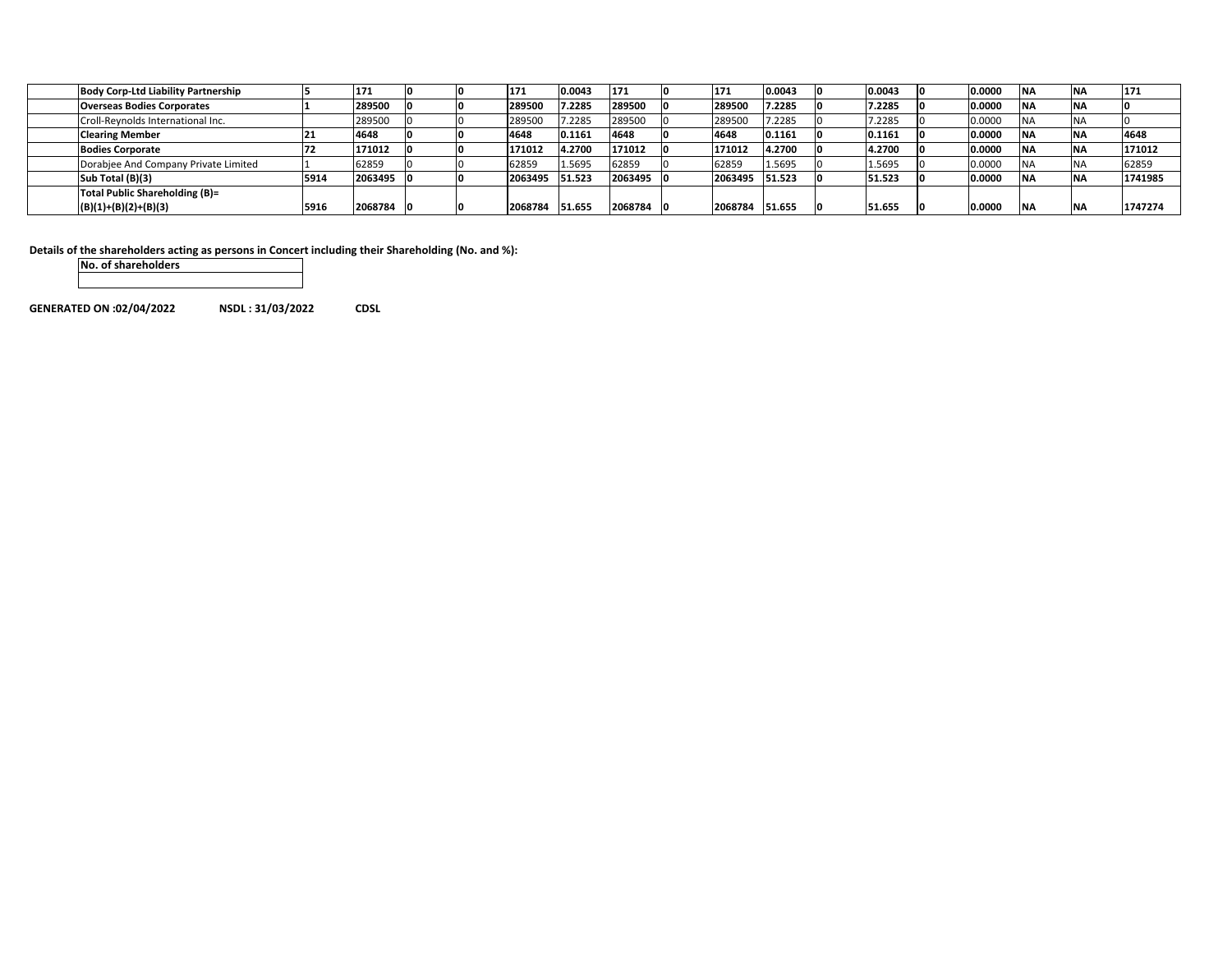| <b>Body Corp-Ltd Liability Partnership</b> |      | 171     |  | 171     | 0.0043 | 171       | 171     | 0.0043 | 0.0043 | 0.0000 |           | <b>INA</b> | 171     |
|--------------------------------------------|------|---------|--|---------|--------|-----------|---------|--------|--------|--------|-----------|------------|---------|
| <b>Overseas Bodies Corporates</b>          |      | 289500  |  | 289500  | 7.2285 | 289500    | 289500  | 7.2285 | 7.2285 | 0.0000 |           | <b>INA</b> |         |
| Croll-Reynolds International Inc.          |      | 289500  |  | 289500  | 7.2285 | 289500    | 289500  | 7.2285 | 7.2285 | 0.0000 |           | <b>NA</b>  |         |
| <b>Clearing Member</b>                     |      | 4648    |  | 4648    | 0.1161 | 4648      | 4648    | 0.1161 | 0.1161 | 0.0000 | <b>NA</b> | <b>INA</b> | 4648    |
| <b>Bodies Corporate</b>                    | 72   | 171012  |  | 171012  | 4.2700 | 171012    | 171012  | 4.2700 | 4.2700 | 0.0000 | <b>NA</b> | <b>INA</b> | 171012  |
| Dorabjee And Company Private Limited       |      | 62859   |  | 62859   | 1.5695 | 62859     | 62859   | 1.5695 | 1.5695 | 0.0000 |           | <b>INA</b> | 62859   |
| Sub Total (B)(3)                           | 5914 | 2063495 |  | 2063495 | 51.523 | 2063495 0 | 2063495 | 51.523 | 51.523 | 0.0000 |           | <b>INA</b> | 1741985 |
| Total Public Shareholding (B)=             |      |         |  |         |        |           |         |        |        |        |           |            |         |
| $(B)(1)+(B)(2)+(B)(3)$                     | 5916 | 2068784 |  | 2068784 | 51.655 | 2068784 0 | 2068784 | 51.655 | 51.655 | 0.0000 |           | <b>INA</b> | 1747274 |

**Details of the shareholders acting as persons in Concert including their Shareholding (No. and %): No. of shareholders**

**GENERATED ON :02/04/2022 NSDL : 31/03/2022 CDSL**